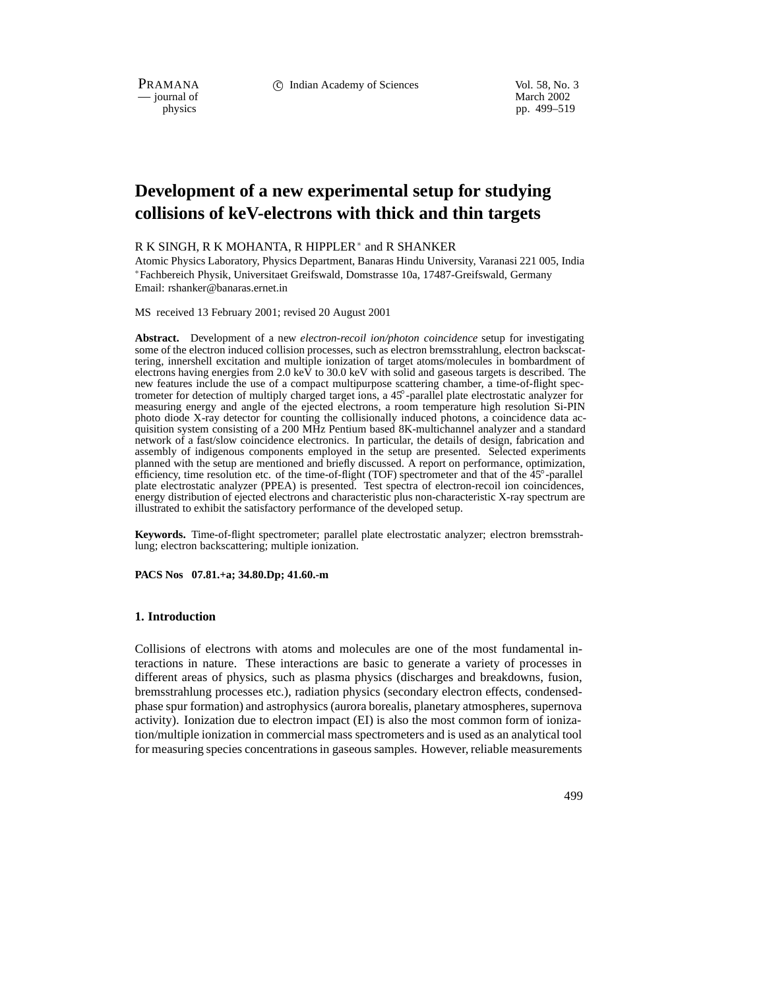PRAMANA c Indian Academy of Sciences Vol. 58, No. 3

 $-$  journal of physics

pp. 499–519

# **Development of a new experimental setup for studying collisions of keV-electrons with thick and thin targets**

## R K SINGH, R K MOHANTA, R HIPPLER\* and R SHANKER

Atomic Physics Laboratory, Physics Department, Banaras Hindu University, Varanasi 221 005, India Fachbereich Physik, Universitaet Greifswald, Domstrasse 10a, 17487-Greifswald, Germany Email: rshanker@banaras.ernet.in

MS received 13 February 2001; revised 20 August 2001

**Abstract.** Development of a new *electron-recoil ion/photon coincidence* setup for investigating some of the electron induced collision processes, such as electron bremsstrahlung, electron backscattering, innershell excitation and multiple ionization of target atoms/molecules in bombardment of electrons having energies from 2.0 keV to 30.0 keV with solid and gaseous targets is described. The new features include the use of a compact multipurpose scattering chamber, a time-of-flight spectrometer for detection of multiply charged target ions, a 45 -parallel plate electrostatic analyzer for measuring energy and angle of the ejected electrons, a room temperature high resolution Si-PIN photo diode X-ray detector for counting the collisionally induced photons, a coincidence data acquisition system consisting of a 200 MHz Pentium based 8K-multichannel analyzer and a standard network of a fast/slow coincidence electronics. In particular, the details of design, fabrication and assembly of indigenous components employed in the setup are presented. Selected experiments planned with the setup are mentioned and briefly discussed. A report on performance, optimization, efficiency, time resolution etc. of the time-of-flight (TOF) spectrometer and that of the 45<sup>°</sup>-parallel plate electrostatic analyzer (PPEA) is presented. Test spectra of electron-recoil ion coincidences, energy distribution of ejected electrons and characteristic plus non-characteristic X-ray spectrum are illustrated to exhibit the satisfactory performance of the developed setup.

**Keywords.** Time-of-flight spectrometer; parallel plate electrostatic analyzer; electron bremsstrahlung; electron backscattering; multiple ionization.

**PACS Nos 07.81.+a; 34.80.Dp; 41.60.-m**

#### **1. Introduction**

Collisions of electrons with atoms and molecules are one of the most fundamental interactions in nature. These interactions are basic to generate a variety of processes in different areas of physics, such as plasma physics (discharges and breakdowns, fusion, bremsstrahlung processes etc.), radiation physics (secondary electron effects, condensedphase spur formation) and astrophysics (aurora borealis, planetary atmospheres, supernova activity). Ionization due to electron impact (EI) is also the most common form of ionization/multiple ionization in commercial mass spectrometers and is used as an analytical tool for measuring species concentrations in gaseous samples. However, reliable measurements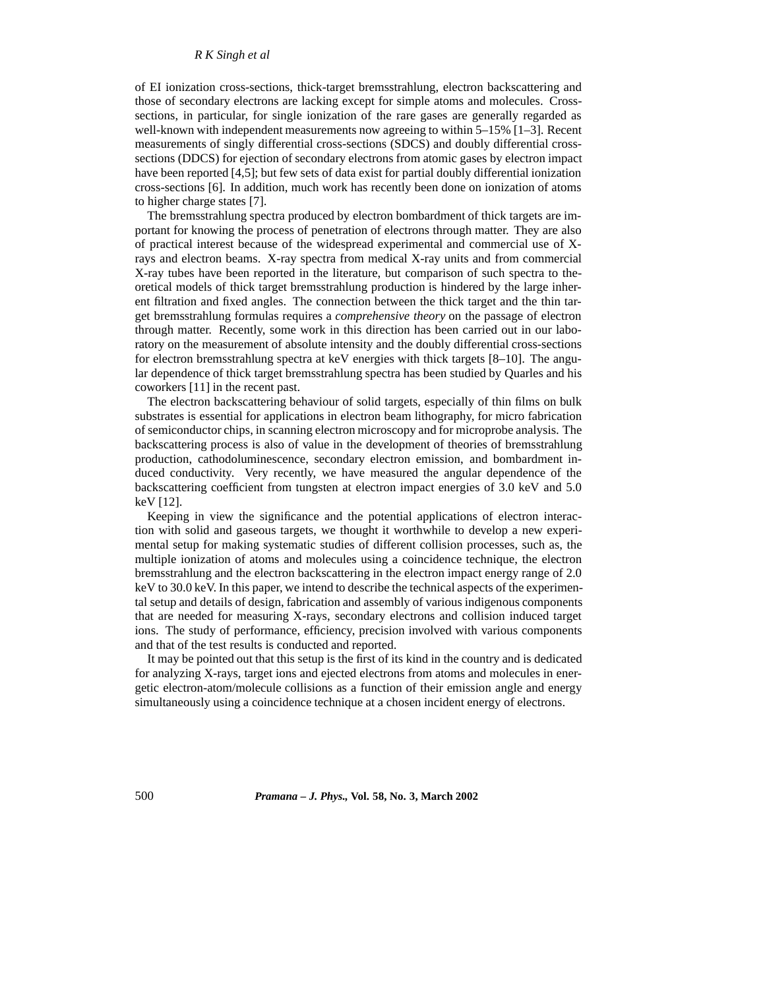of EI ionization cross-sections, thick-target bremsstrahlung, electron backscattering and those of secondary electrons are lacking except for simple atoms and molecules. Crosssections, in particular, for single ionization of the rare gases are generally regarded as well-known with independent measurements now agreeing to within 5–15% [1–3]. Recent measurements of singly differential cross-sections (SDCS) and doubly differential crosssections (DDCS) for ejection of secondary electrons from atomic gases by electron impact have been reported [4,5]; but few sets of data exist for partial doubly differential ionization cross-sections [6]. In addition, much work has recently been done on ionization of atoms to higher charge states [7].

The bremsstrahlung spectra produced by electron bombardment of thick targets are important for knowing the process of penetration of electrons through matter. They are also of practical interest because of the widespread experimental and commercial use of Xrays and electron beams. X-ray spectra from medical X-ray units and from commercial X-ray tubes have been reported in the literature, but comparison of such spectra to theoretical models of thick target bremsstrahlung production is hindered by the large inherent filtration and fixed angles. The connection between the thick target and the thin target bremsstrahlung formulas requires a *comprehensive theory* on the passage of electron through matter. Recently, some work in this direction has been carried out in our laboratory on the measurement of absolute intensity and the doubly differential cross-sections for electron bremsstrahlung spectra at keV energies with thick targets [8–10]. The angular dependence of thick target bremsstrahlung spectra has been studied by Quarles and his coworkers [11] in the recent past.

The electron backscattering behaviour of solid targets, especially of thin films on bulk substrates is essential for applications in electron beam lithography, for micro fabrication of semiconductor chips, in scanning electron microscopy and for microprobe analysis. The backscattering process is also of value in the development of theories of bremsstrahlung production, cathodoluminescence, secondary electron emission, and bombardment induced conductivity. Very recently, we have measured the angular dependence of the backscattering coefficient from tungsten at electron impact energies of 3.0 keV and 5.0 keV [12].

Keeping in view the significance and the potential applications of electron interaction with solid and gaseous targets, we thought it worthwhile to develop a new experimental setup for making systematic studies of different collision processes, such as, the multiple ionization of atoms and molecules using a coincidence technique, the electron bremsstrahlung and the electron backscattering in the electron impact energy range of 2.0 keV to 30.0 keV. In this paper, we intend to describe the technical aspects of the experimental setup and details of design, fabrication and assembly of various indigenous components that are needed for measuring X-rays, secondary electrons and collision induced target ions. The study of performance, efficiency, precision involved with various components and that of the test results is conducted and reported.

It may be pointed out that this setup is the first of its kind in the country and is dedicated for analyzing X-rays, target ions and ejected electrons from atoms and molecules in energetic electron-atom/molecule collisions as a function of their emission angle and energy simultaneously using a coincidence technique at a chosen incident energy of electrons.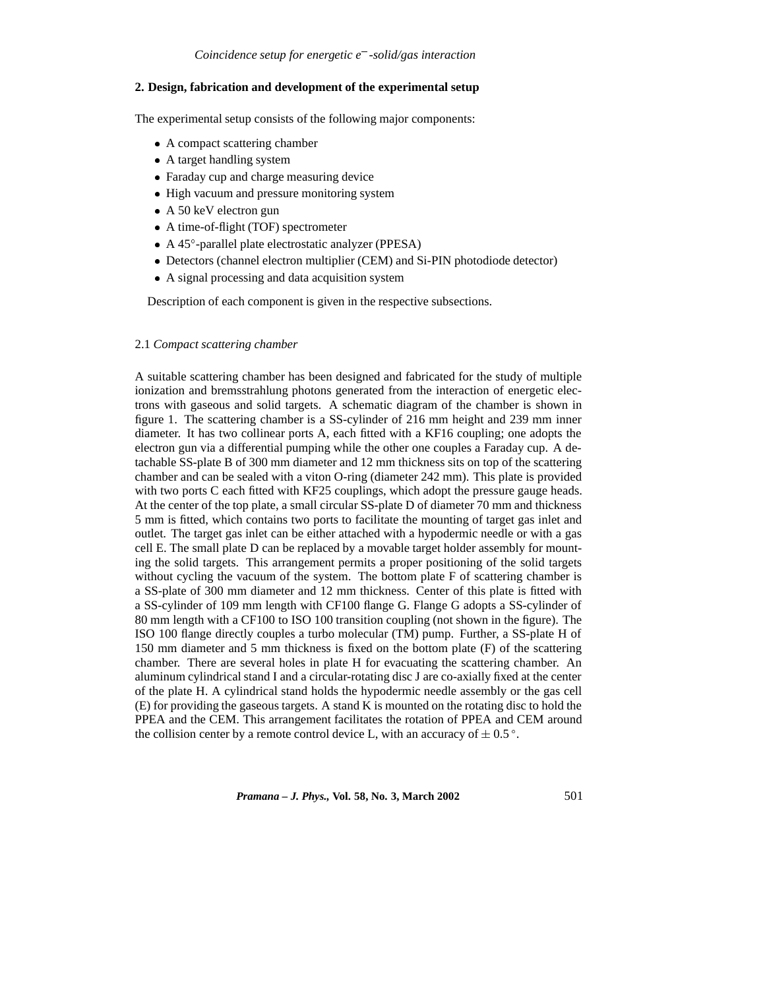#### **2. Design, fabrication and development of the experimental setup**

The experimental setup consists of the following major components:

- A compact scattering chamber
- A target handling system
- Faraday cup and charge measuring device
- High vacuum and pressure monitoring system
- A 50 keV electron gun
- A time-of-flight (TOF) spectrometer
- A 45°-parallel plate electrostatic analyzer (PPESA)
- Detectors (channel electron multiplier (CEM) and Si-PIN photodiode detector)
- A signal processing and data acquisition system

Description of each component is given in the respective subsections.

#### 2.1 *Compact scattering chamber*

A suitable scattering chamber has been designed and fabricated for the study of multiple ionization and bremsstrahlung photons generated from the interaction of energetic electrons with gaseous and solid targets. A schematic diagram of the chamber is shown in figure 1. The scattering chamber is a SS-cylinder of 216 mm height and 239 mm inner diameter. It has two collinear ports A, each fitted with a KF16 coupling; one adopts the electron gun via a differential pumping while the other one couples a Faraday cup. A detachable SS-plate B of 300 mm diameter and 12 mm thickness sits on top of the scattering chamber and can be sealed with a viton O-ring (diameter 242 mm). This plate is provided with two ports C each fitted with KF25 couplings, which adopt the pressure gauge heads. At the center of the top plate, a small circular SS-plate D of diameter 70 mm and thickness 5 mm is fitted, which contains two ports to facilitate the mounting of target gas inlet and outlet. The target gas inlet can be either attached with a hypodermic needle or with a gas cell E. The small plate D can be replaced by a movable target holder assembly for mounting the solid targets. This arrangement permits a proper positioning of the solid targets without cycling the vacuum of the system. The bottom plate F of scattering chamber is a SS-plate of 300 mm diameter and 12 mm thickness. Center of this plate is fitted with a SS-cylinder of 109 mm length with CF100 flange G. Flange G adopts a SS-cylinder of 80 mm length with a CF100 to ISO 100 transition coupling (not shown in the figure). The ISO 100 flange directly couples a turbo molecular (TM) pump. Further, a SS-plate H of 150 mm diameter and 5 mm thickness is fixed on the bottom plate (F) of the scattering chamber. There are several holes in plate H for evacuating the scattering chamber. An aluminum cylindrical stand I and a circular-rotating disc J are co-axially fixed at the center of the plate H. A cylindrical stand holds the hypodermic needle assembly or the gas cell (E) for providing the gaseous targets. A stand K is mounted on the rotating disc to hold the PPEA and the CEM. This arrangement facilitates the rotation of PPEA and CEM around the collision center by a remote control device L, with an accuracy of  $\pm$  0.5 °.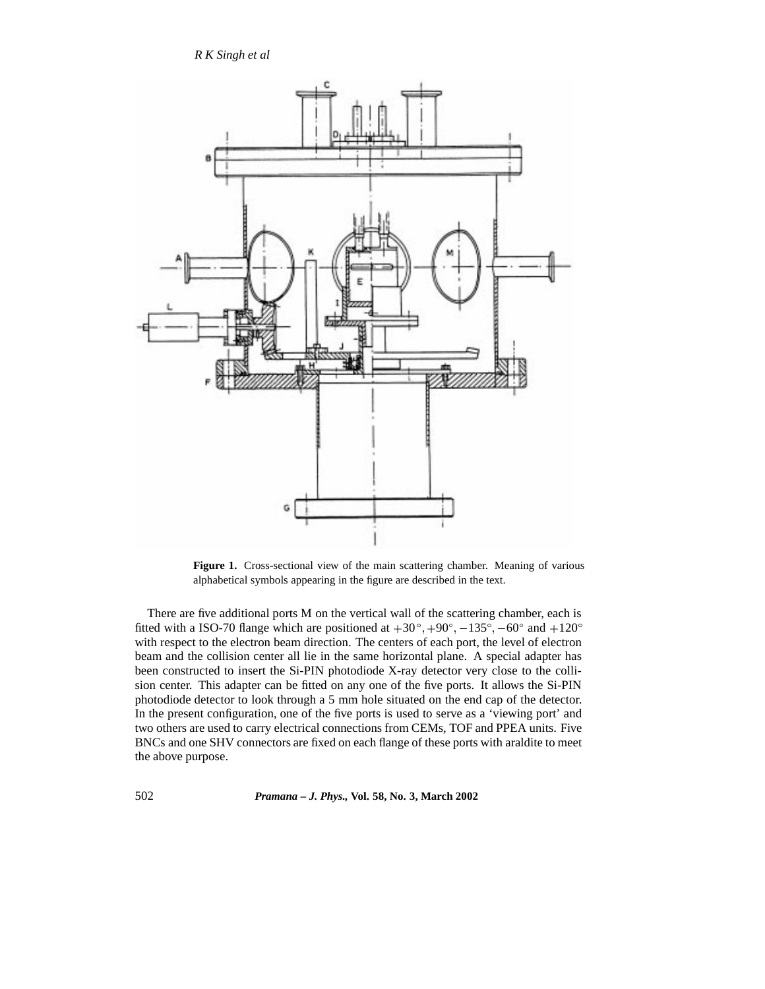

**Figure 1.** Cross-sectional view of the main scattering chamber. Meaning of various alphabetical symbols appearing in the figure are described in the text.

There are five additional ports M on the vertical wall of the scattering chamber, each is fitted with a ISO-70 flange which are positioned at  $+30^{\circ},+90^{\circ},-135^{\circ},-60^{\circ}$  and  $+120^{\circ}$ with respect to the electron beam direction. The centers of each port, the level of electron beam and the collision center all lie in the same horizontal plane. A special adapter has been constructed to insert the Si-PIN photodiode X-ray detector very close to the collision center. This adapter can be fitted on any one of the five ports. It allows the Si-PIN photodiode detector to look through a 5 mm hole situated on the end cap of the detector. In the present configuration, one of the five ports is used to serve as a 'viewing port' and two others are used to carry electrical connections from CEMs, TOF and PPEA units. Five BNCs and one SHV connectors are fixed on each flange of these ports with araldite to meet the above purpose.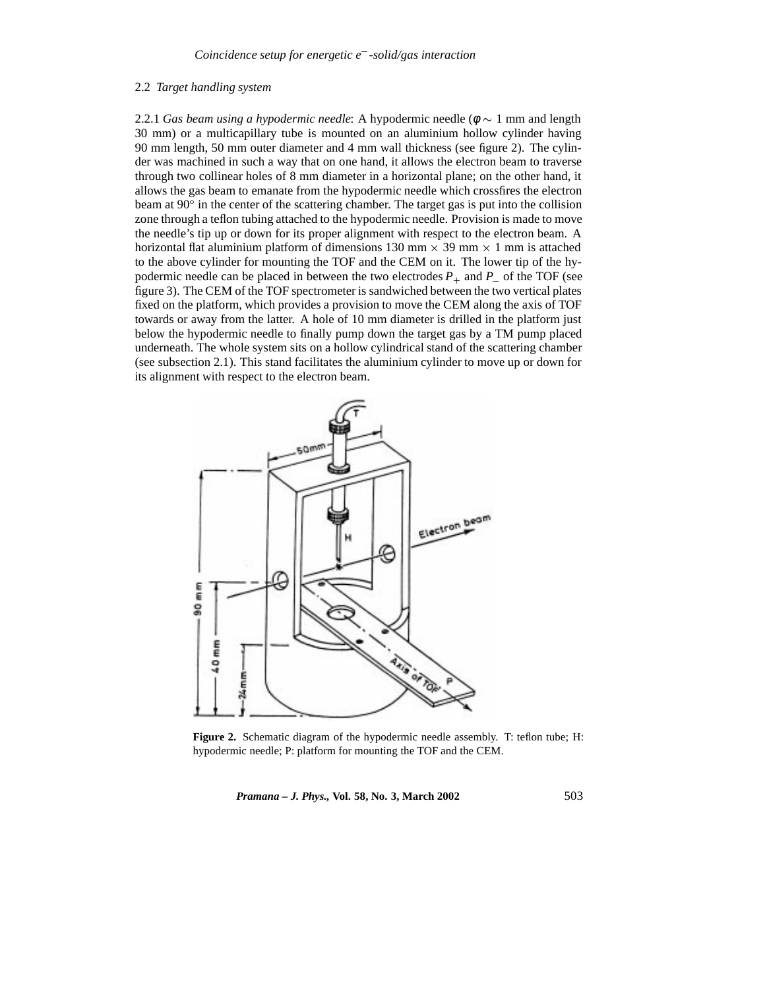#### 2.2 *Target handling system*

2.2.1 *Gas beam using a hypodermic needle*: A hypodermic needle ( $\phi \sim 1$  mm and length 30 mm) or a multicapillary tube is mounted on an aluminium hollow cylinder having 90 mm length, 50 mm outer diameter and 4 mm wall thickness (see figure 2). The cylinder was machined in such a way that on one hand, it allows the electron beam to traverse through two collinear holes of 8 mm diameter in a horizontal plane; on the other hand, it allows the gas beam to emanate from the hypodermic needle which crossfires the electron beam at  $90^\circ$  in the center of the scattering chamber. The target gas is put into the collision zone through a teflon tubing attached to the hypodermic needle. Provision is made to move the needle's tip up or down for its proper alignment with respect to the electron beam. A horizontal flat aluminium platform of dimensions 130 mm  $\times$  39 mm  $\times$  1 mm is attached to the above cylinder for mounting the TOF and the CEM on it. The lower tip of the hypodermic needle can be placed in between the two electrodes  $P_+$  and  $P_-$  of the TOF (see figure 3). The CEM of the TOF spectrometer is sandwiched between the two vertical plates fixed on the platform, which provides a provision to move the CEM along the axis of TOF towards or away from the latter. A hole of 10 mm diameter is drilled in the platform just below the hypodermic needle to finally pump down the target gas by a TM pump placed underneath. The whole system sits on a hollow cylindrical stand of the scattering chamber (see subsection 2.1). This stand facilitates the aluminium cylinder to move up or down for its alignment with respect to the electron beam.



**Figure 2.** Schematic diagram of the hypodermic needle assembly. T: teflon tube; H: hypodermic needle; P: platform for mounting the TOF and the CEM.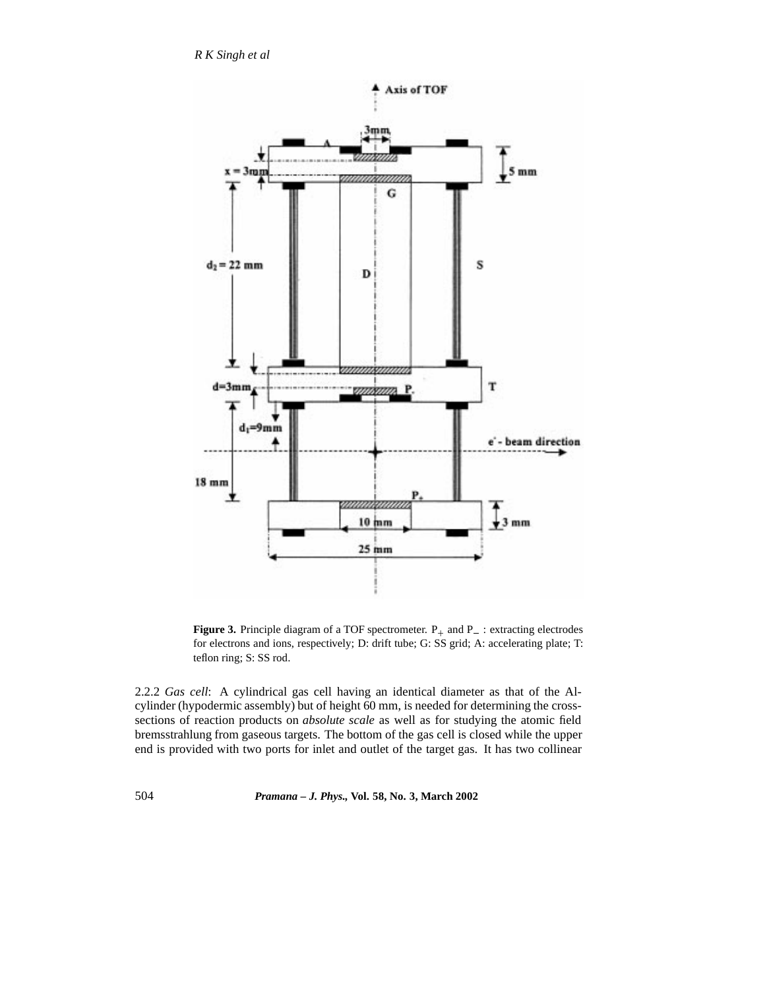

**Figure 3.** Principle diagram of a TOF spectrometer.  $P_+$  and  $P_-$ : extracting electrodes for electrons and ions, respectively; D: drift tube; G: SS grid; A: accelerating plate; T: teflon ring; S: SS rod.

2.2.2 *Gas cell*: A cylindrical gas cell having an identical diameter as that of the Alcylinder (hypodermic assembly) but of height 60 mm, is needed for determining the crosssections of reaction products on *absolute scale* as well as for studying the atomic field bremsstrahlung from gaseous targets. The bottom of the gas cell is closed while the upper end is provided with two ports for inlet and outlet of the target gas. It has two collinear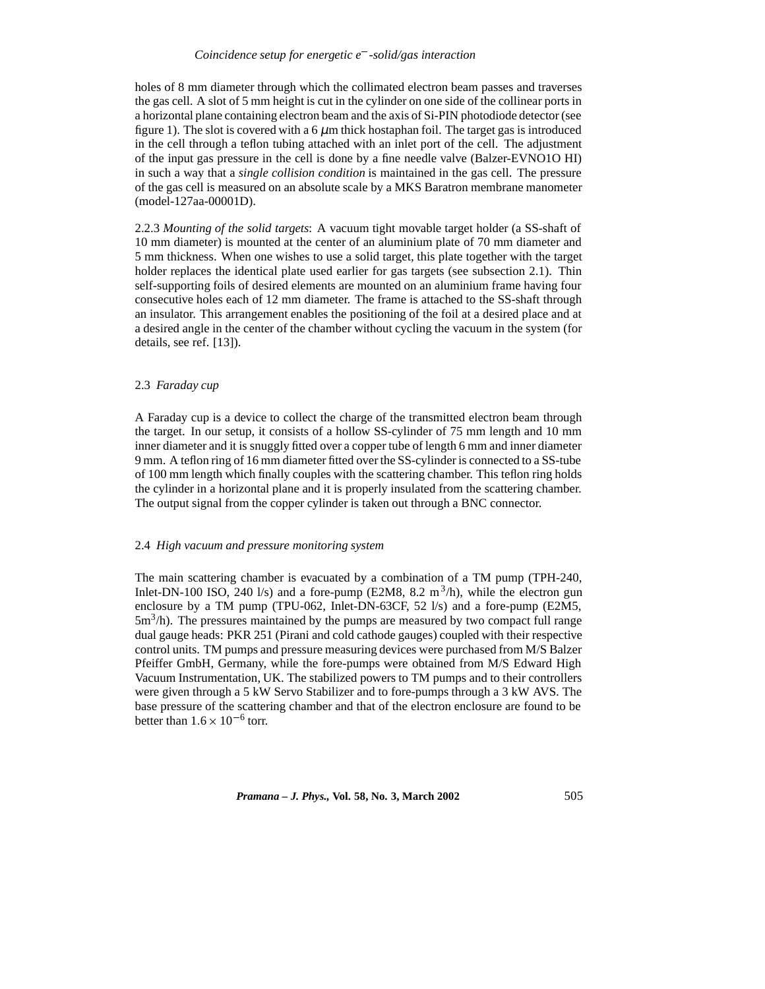#### *Coincidence setup for energetic e -solid/gas interaction*

holes of 8 mm diameter through which the collimated electron beam passes and traverses the gas cell. A slot of 5 mm height is cut in the cylinder on one side of the collinear ports in a horizontal plane containing electron beam and the axis of Si-PIN photodiode detector (see figure 1). The slot is covered with a  $6 \mu m$  thick hostaphan foil. The target gas is introduced in the cell through a teflon tubing attached with an inlet port of the cell. The adjustment of the input gas pressure in the cell is done by a fine needle valve (Balzer-EVNO1O HI) in such a way that a *single collision condition* is maintained in the gas cell. The pressure of the gas cell is measured on an absolute scale by a MKS Baratron membrane manometer (model-127aa-00001D).

2.2.3 *Mounting of the solid targets*: A vacuum tight movable target holder (a SS-shaft of 10 mm diameter) is mounted at the center of an aluminium plate of 70 mm diameter and 5 mm thickness. When one wishes to use a solid target, this plate together with the target holder replaces the identical plate used earlier for gas targets (see subsection 2.1). Thin self-supporting foils of desired elements are mounted on an aluminium frame having four consecutive holes each of 12 mm diameter. The frame is attached to the SS-shaft through an insulator. This arrangement enables the positioning of the foil at a desired place and at a desired angle in the center of the chamber without cycling the vacuum in the system (for details, see ref. [13]).

## 2.3 *Faraday cup*

A Faraday cup is a device to collect the charge of the transmitted electron beam through the target. In our setup, it consists of a hollow SS-cylinder of 75 mm length and 10 mm inner diameter and it is snuggly fitted over a copper tube of length 6 mm and inner diameter 9 mm. A teflon ring of 16 mm diameter fitted over the SS-cylinder is connected to a SS-tube of 100 mm length which finally couples with the scattering chamber. This teflon ring holds the cylinder in a horizontal plane and it is properly insulated from the scattering chamber. The output signal from the copper cylinder is taken out through a BNC connector.

#### 2.4 *High vacuum and pressure monitoring system*

The main scattering chamber is evacuated by a combination of a TM pump (TPH-240, Inlet-DN-100 ISO, 240 l/s) and a fore-pump (E2M8, 8.2 m<sup>3</sup>/h), while the electron gun enclosure by a TM pump (TPU-062, Inlet-DN-63CF, 52 l/s) and a fore-pump (E2M5,  $5m<sup>3</sup>/h$ ). The pressures maintained by the pumps are measured by two compact full range dual gauge heads: PKR 251 (Pirani and cold cathode gauges) coupled with their respective control units. TM pumps and pressure measuring devices were purchased from M/S Balzer Pfeiffer GmbH, Germany, while the fore-pumps were obtained from M/S Edward High Vacuum Instrumentation, UK. The stabilized powers to TM pumps and to their controllers were given through a 5 kW Servo Stabilizer and to fore-pumps through a 3 kW AVS. The base pressure of the scattering chamber and that of the electron enclosure are found to be better than  $1.6 \times 10^{-6}$  torr.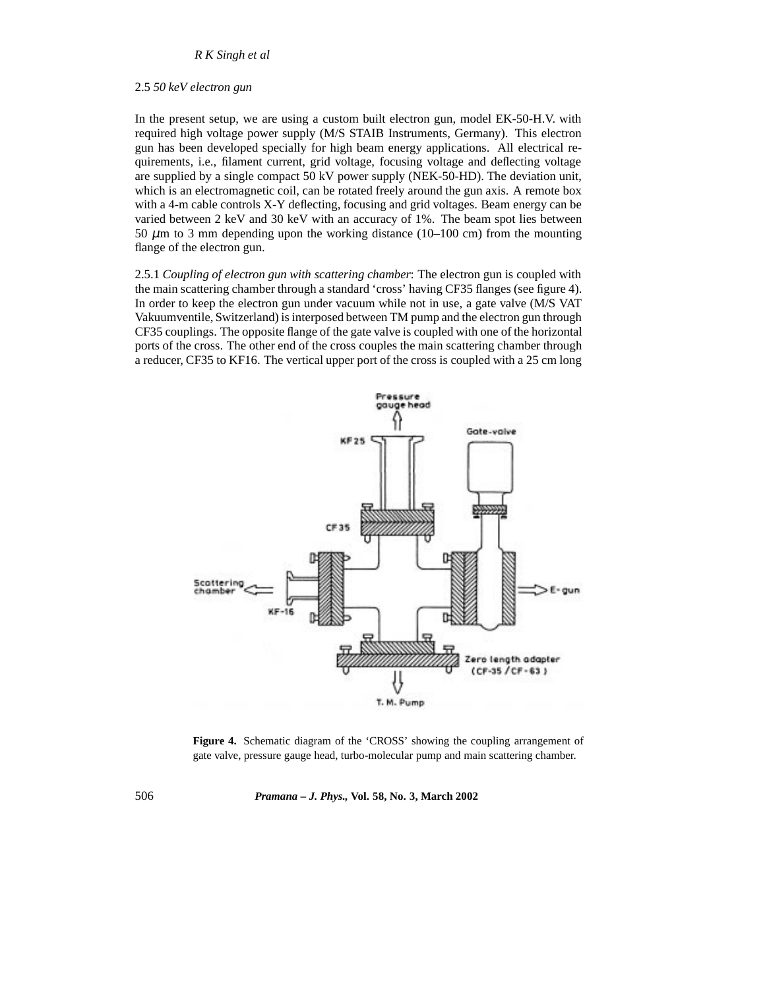## 2.5 *50 keV electron gun*

In the present setup, we are using a custom built electron gun, model EK-50-H.V. with required high voltage power supply (M/S STAIB Instruments, Germany). This electron gun has been developed specially for high beam energy applications. All electrical requirements, i.e., filament current, grid voltage, focusing voltage and deflecting voltage are supplied by a single compact 50 kV power supply (NEK-50-HD). The deviation unit, which is an electromagnetic coil, can be rotated freely around the gun axis. A remote box with a 4-m cable controls X-Y deflecting, focusing and grid voltages. Beam energy can be varied between 2 keV and 30 keV with an accuracy of 1%. The beam spot lies between 50  $\mu$ m to 3 mm depending upon the working distance (10–100 cm) from the mounting flange of the electron gun.

2.5.1 *Coupling of electron gun with scattering chamber*: The electron gun is coupled with the main scattering chamber through a standard 'cross' having CF35 flanges (see figure 4). In order to keep the electron gun under vacuum while not in use, a gate valve (M/S VAT Vakuumventile, Switzerland) is interposed between TM pump and the electron gun through CF35 couplings. The opposite flange of the gate valve is coupled with one of the horizontal ports of the cross. The other end of the cross couples the main scattering chamber through a reducer, CF35 to KF16. The vertical upper port of the cross is coupled with a 25 cm long



Figure 4. Schematic diagram of the 'CROSS' showing the coupling arrangement of gate valve, pressure gauge head, turbo-molecular pump and main scattering chamber.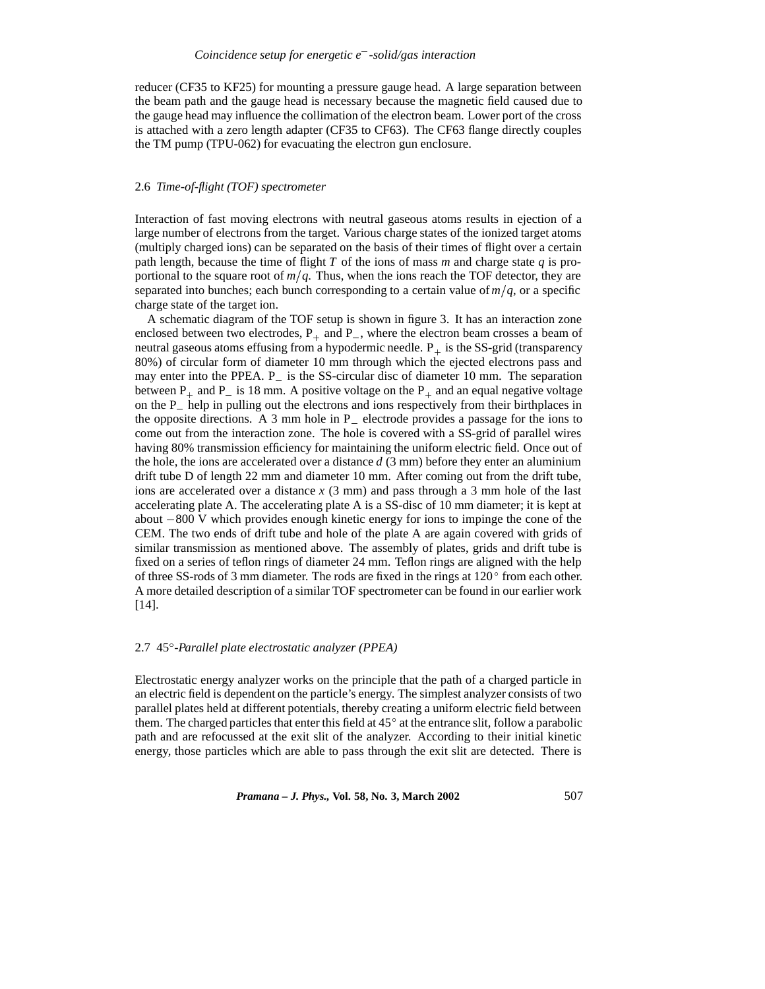reducer (CF35 to KF25) for mounting a pressure gauge head. A large separation between the beam path and the gauge head is necessary because the magnetic field caused due to the gauge head may influence the collimation of the electron beam. Lower port of the cross is attached with a zero length adapter (CF35 to CF63). The CF63 flange directly couples the TM pump (TPU-062) for evacuating the electron gun enclosure.

## 2.6 *Time-of-flight (TOF) spectrometer*

Interaction of fast moving electrons with neutral gaseous atoms results in ejection of a large number of electrons from the target. Various charge states of the ionized target atoms (multiply charged ions) can be separated on the basis of their times of flight over a certain path length, because the time of flight *T* of the ions of mass *m* and charge state *q* is proportional to the square root of  $m/q$ . Thus, when the ions reach the TOF detector, they are separated into bunches; each bunch corresponding to a certain value of  $m/q$ , or a specific charge state of the target ion.

A schematic diagram of the TOF setup is shown in figure 3. It has an interaction zone enclosed between two electrodes,  $P_+$  and  $P_-$ , where the electron beam crosses a beam of neutral gaseous atoms effusing from a hypodermic needle.  $P_+$  is the SS-grid (transparency 80%) of circular form of diameter 10 mm through which the ejected electrons pass and may enter into the PPEA. P\_ is the SS-circular disc of diameter 10 mm. The separation between  $P_+$  and  $P_-$  is 18 mm. A positive voltage on the  $P_+$  and an equal negative voltage on the P<sub>\_</sub> help in pulling out the electrons and ions respectively from their birthplaces in the opposite directions. A 3 mm hole in  $P_$  electrode provides a passage for the ions to come out from the interaction zone. The hole is covered with a SS-grid of parallel wires having 80% transmission efficiency for maintaining the uniform electric field. Once out of the hole, the ions are accelerated over a distance *d* (3 mm) before they enter an aluminium drift tube D of length 22 mm and diameter 10 mm. After coming out from the drift tube, ions are accelerated over a distance *x* (3 mm) and pass through a 3 mm hole of the last accelerating plate A. The accelerating plate A is a SS-disc of 10 mm diameter; it is kept at about  $-800$  V which provides enough kinetic energy for ions to impinge the cone of the CEM. The two ends of drift tube and hole of the plate A are again covered with grids of similar transmission as mentioned above. The assembly of plates, grids and drift tube is fixed on a series of teflon rings of diameter 24 mm. Teflon rings are aligned with the help of three SS-rods of 3 mm diameter. The rods are fixed in the rings at  $120^{\circ}$  from each other. A more detailed description of a similar TOF spectrometer can be found in our earlier work [14].

#### 2.7 45 *-Parallel plate electrostatic analyzer (PPEA)*

Electrostatic energy analyzer works on the principle that the path of a charged particle in an electric field is dependent on the particle's energy. The simplest analyzer consists of two parallel plates held at different potentials, thereby creating a uniform electric field between them. The charged particles that enter this field at  $45^{\circ}$  at the entrance slit, follow a parabolic path and are refocussed at the exit slit of the analyzer. According to their initial kinetic energy, those particles which are able to pass through the exit slit are detected. There is

*Pramana – J. Phys.,* **Vol. 58, No. 3, March 2002** 507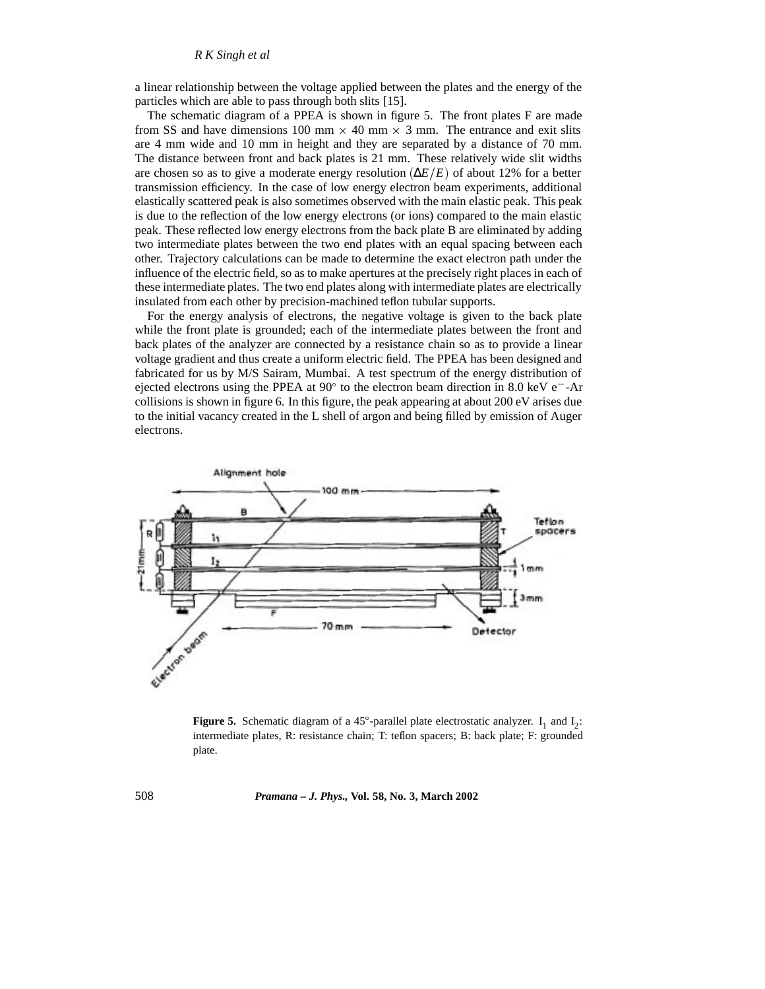a linear relationship between the voltage applied between the plates and the energy of the particles which are able to pass through both slits [15].

The schematic diagram of a PPEA is shown in figure 5. The front plates F are made from SS and have dimensions 100 mm  $\times$  40 mm  $\times$  3 mm. The entrance and exit slits are 4 mm wide and 10 mm in height and they are separated by a distance of 70 mm. The distance between front and back plates is 21 mm. These relatively wide slit widths are chosen so as to give a moderate energy resolution  $(\Delta E/E)$  of about 12% for a better transmission efficiency. In the case of low energy electron beam experiments, additional elastically scattered peak is also sometimes observed with the main elastic peak. This peak is due to the reflection of the low energy electrons (or ions) compared to the main elastic peak. These reflected low energy electrons from the back plate B are eliminated by adding two intermediate plates between the two end plates with an equal spacing between each other. Trajectory calculations can be made to determine the exact electron path under the influence of the electric field, so as to make apertures at the precisely right places in each of these intermediate plates. The two end plates along with intermediate plates are electrically insulated from each other by precision-machined teflon tubular supports.

For the energy analysis of electrons, the negative voltage is given to the back plate while the front plate is grounded; each of the intermediate plates between the front and back plates of the analyzer are connected by a resistance chain so as to provide a linear voltage gradient and thus create a uniform electric field. The PPEA has been designed and fabricated for us by M/S Sairam, Mumbai. A test spectrum of the energy distribution of ejected electrons using the PPEA at  $90^{\circ}$  to the electron beam direction in 8.0 keV e<sup>-</sup>-Ar collisions is shown in figure 6. In this figure, the peak appearing at about 200 eV arises due to the initial vacancy created in the L shell of argon and being filled by emission of Auger electrons.



**Figure 5.** Schematic diagram of a 45 $^{\circ}$ -parallel plate electrostatic analyzer.  $I_1$  and  $I_2$ : intermediate plates, R: resistance chain; T: teflon spacers; B: back plate; F: grounded plate.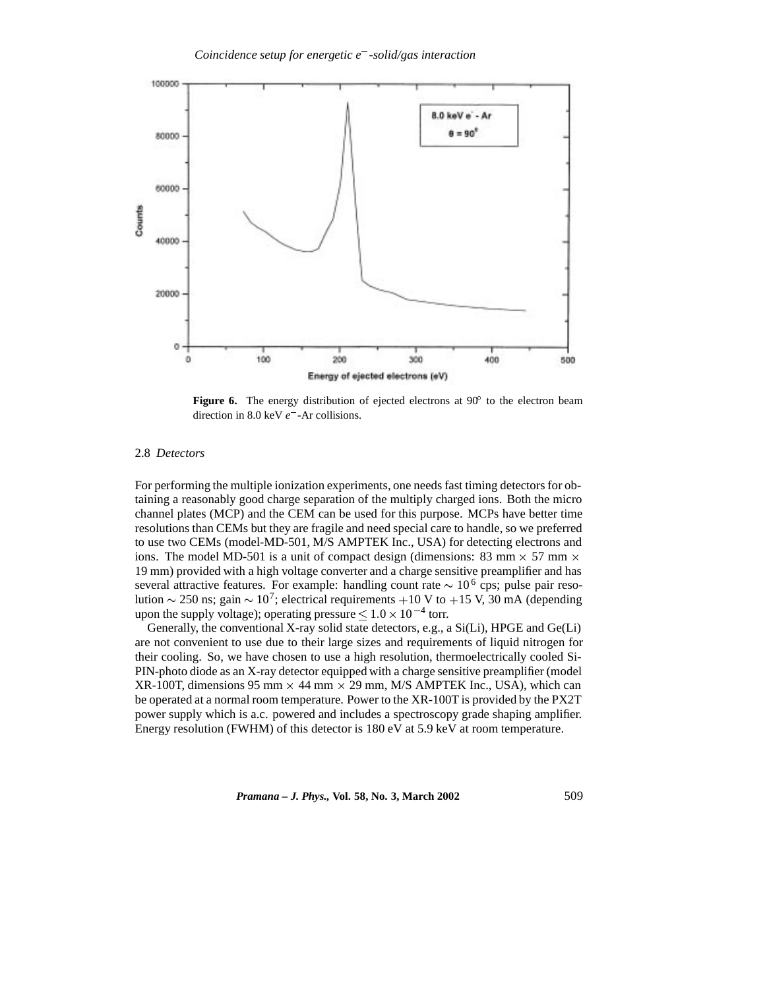

Figure 6. The energy distribution of ejected electrons at 90° to the electron beam direction in 8.0 keV *e* -Ar collisions.

#### 2.8 *Detectors*

For performing the multiple ionization experiments, one needs fast timing detectors for obtaining a reasonably good charge separation of the multiply charged ions. Both the micro channel plates (MCP) and the CEM can be used for this purpose. MCPs have better time resolutions than CEMs but they are fragile and need special care to handle, so we preferred to use two CEMs (model-MD-501, M/S AMPTEK Inc., USA) for detecting electrons and ions. The model MD-501 is a unit of compact design (dimensions: 83 mm  $\times$  57 mm  $\times$ 19 mm) provided with a high voltage converter and a charge sensitive preamplifier and has several attractive features. For example: handling count rate  $\sim 10^6$  cps; pulse pair resolution  $\sim$  250 ns; gain  $\sim$  10<sup>7</sup>; electrical requirements +10 V to +15 V, 30 mA (depending upon the supply voltage); operating pressure  $\leq 1.0 \times 10^{-4}$  torr.

Generally, the conventional X-ray solid state detectors, e.g., a Si(Li), HPGE and Ge(Li) are not convenient to use due to their large sizes and requirements of liquid nitrogen for their cooling. So, we have chosen to use a high resolution, thermoelectrically cooled Si-PIN-photo diode as an X-ray detector equipped with a charge sensitive preamplifier (model  $XR-100T$ , dimensions 95 mm  $\times$  44 mm  $\times$  29 mm, M/S AMPTEK Inc., USA), which can be operated at a normal room temperature. Power to the XR-100T is provided by the PX2T power supply which is a.c. powered and includes a spectroscopy grade shaping amplifier. Energy resolution (FWHM) of this detector is 180 eV at 5.9 keV at room temperature.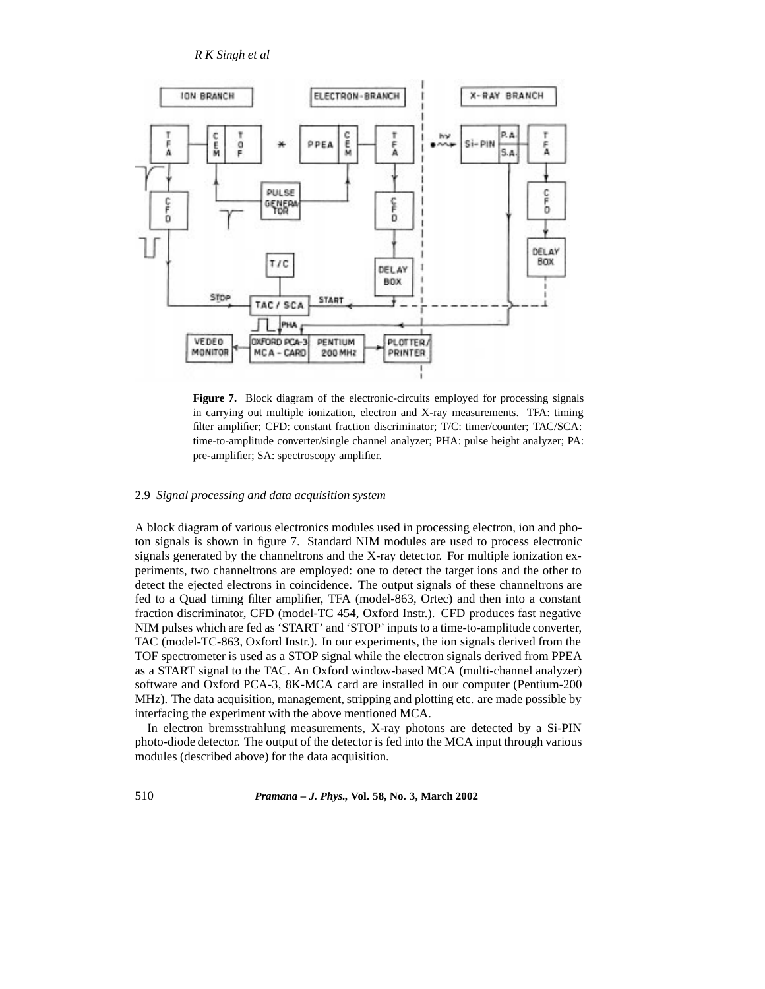

**Figure 7.** Block diagram of the electronic-circuits employed for processing signals in carrying out multiple ionization, electron and X-ray measurements. TFA: timing filter amplifier; CFD: constant fraction discriminator; T/C: timer/counter; TAC/SCA: time-to-amplitude converter/single channel analyzer; PHA: pulse height analyzer; PA: pre-amplifier; SA: spectroscopy amplifier.

# 2.9 *Signal processing and data acquisition system*

A block diagram of various electronics modules used in processing electron, ion and photon signals is shown in figure 7. Standard NIM modules are used to process electronic signals generated by the channeltrons and the X-ray detector. For multiple ionization experiments, two channeltrons are employed: one to detect the target ions and the other to detect the ejected electrons in coincidence. The output signals of these channeltrons are fed to a Quad timing filter amplifier, TFA (model-863, Ortec) and then into a constant fraction discriminator, CFD (model-TC 454, Oxford Instr.). CFD produces fast negative NIM pulses which are fed as 'START' and 'STOP' inputs to a time-to-amplitude converter, TAC (model-TC-863, Oxford Instr.). In our experiments, the ion signals derived from the TOF spectrometer is used as a STOP signal while the electron signals derived from PPEA as a START signal to the TAC. An Oxford window-based MCA (multi-channel analyzer) software and Oxford PCA-3, 8K-MCA card are installed in our computer (Pentium-200 MHz). The data acquisition, management, stripping and plotting etc. are made possible by interfacing the experiment with the above mentioned MCA.

In electron bremsstrahlung measurements, X-ray photons are detected by a Si-PIN photo-diode detector. The output of the detector is fed into the MCA input through various modules (described above) for the data acquisition.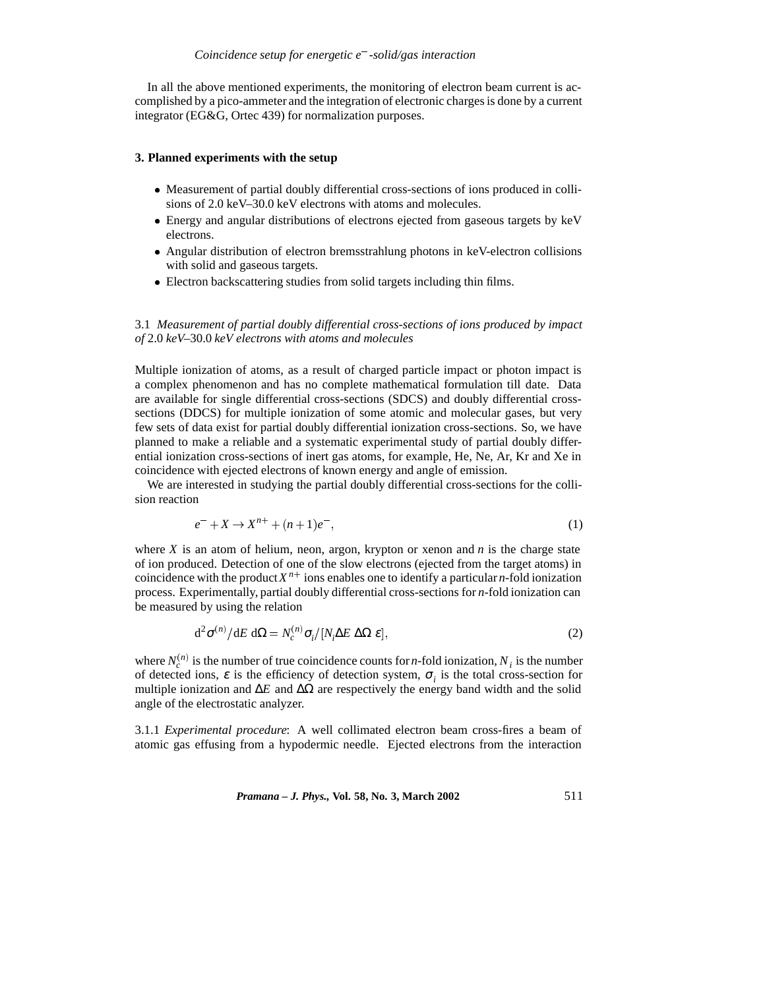In all the above mentioned experiments, the monitoring of electron beam current is accomplished by a pico-ammeter and the integration of electronic charges is done by a current integrator (EG&G, Ortec 439) for normalization purposes.

#### **3. Planned experiments with the setup**

- Measurement of partial doubly differential cross-sections of ions produced in collisions of 2.0 keV–30.0 keV electrons with atoms and molecules.
- Energy and angular distributions of electrons ejected from gaseous targets by keV electrons.
- Angular distribution of electron bremsstrahlung photons in keV-electron collisions with solid and gaseous targets.
- Electron backscattering studies from solid targets including thin films.

## 3.1 *Measurement of partial doubly differential cross-sections of ions produced by impact of* 2.0 *keV–*30.0 *keV electrons with atoms and molecules*

Multiple ionization of atoms, as a result of charged particle impact or photon impact is a complex phenomenon and has no complete mathematical formulation till date. Data are available for single differential cross-sections (SDCS) and doubly differential crosssections (DDCS) for multiple ionization of some atomic and molecular gases, but very few sets of data exist for partial doubly differential ionization cross-sections. So, we have planned to make a reliable and a systematic experimental study of partial doubly differential ionization cross-sections of inert gas atoms, for example, He, Ne, Ar, Kr and Xe in coincidence with ejected electrons of known energy and angle of emission.

We are interested in studying the partial doubly differential cross-sections for the collision reaction

$$
e^- + X \to X^{n+} + (n+1)e^-, \tag{1}
$$

where  $X$  is an atom of helium, neon, argon, krypton or xenon and  $n$  is the charge state of ion produced. Detection of one of the slow electrons (ejected from the target atoms) in coincidence with the product  $X^{n+}$  ions enables one to identify a particular *n*-fold ionization process. Experimentally, partial doubly differential cross-sections for *n*-fold ionization can be measured by using the relation

$$
d^2 \sigma^{(n)} / dE d\Omega = N_c^{(n)} \sigma_i / [N_i \Delta E \Delta \Omega \varepsilon],
$$
\n(2)

where  $N_c^{(n)}$  is the number of true coincidence counts for *n*-fold ionization,  $N_i$  is the number of detected ions,  $\varepsilon$  is the efficiency of detection system,  $\sigma_i$  is the total cross-section for multiple ionization and  $\Delta E$  and  $\Delta \Omega$  are respectively the energy band width and the solid angle of the electrostatic analyzer.

3.1.1 *Experimental procedure*: A well collimated electron beam cross-fires a beam of atomic gas effusing from a hypodermic needle. Ejected electrons from the interaction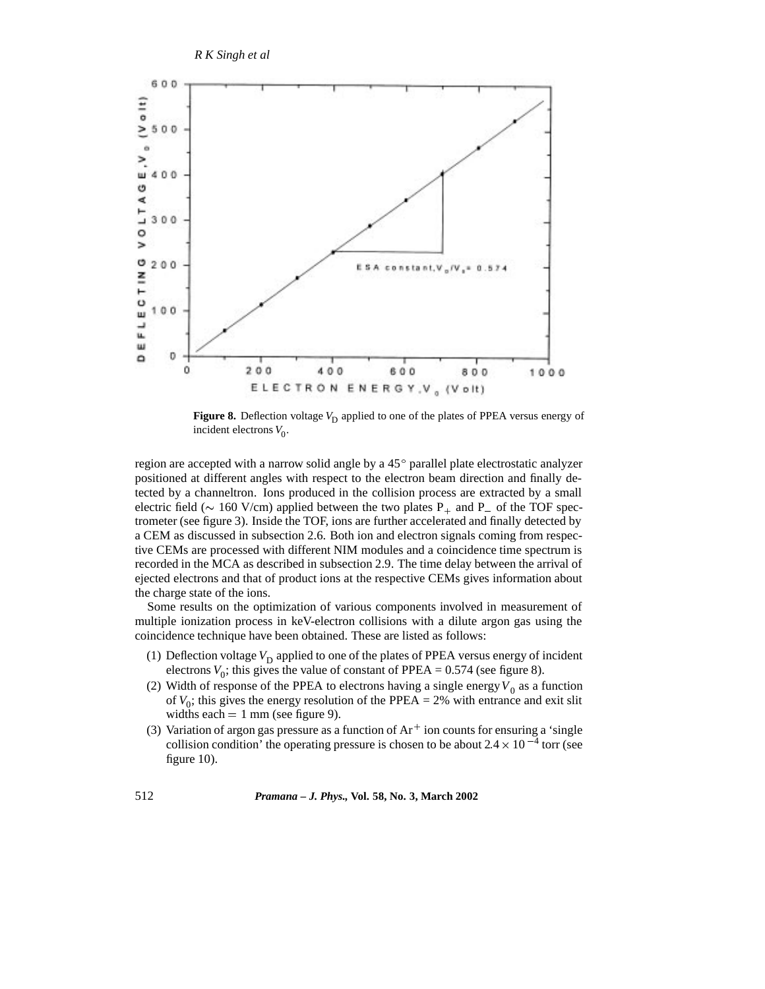

**Figure 8.** Deflection voltage  $V_D$  applied to one of the plates of PPEA versus energy of incident electrons  $V_0$ .

region are accepted with a narrow solid angle by a  $45^{\circ}$  parallel plate electrostatic analyzer positioned at different angles with respect to the electron beam direction and finally detected by a channeltron. Ions produced in the collision process are extracted by a small electric field ( $\sim 160$  V/cm) applied between the two plates P<sub>+</sub> and P<sub>-</sub> of the TOF spectrometer (see figure 3). Inside the TOF, ions are further accelerated and finally detected by a CEM as discussed in subsection 2.6. Both ion and electron signals coming from respective CEMs are processed with different NIM modules and a coincidence time spectrum is recorded in the MCA as described in subsection 2.9. The time delay between the arrival of ejected electrons and that of product ions at the respective CEMs gives information about the charge state of the ions.

Some results on the optimization of various components involved in measurement of multiple ionization process in keV-electron collisions with a dilute argon gas using the coincidence technique have been obtained. These are listed as follows:

- (1) Deflection voltage  $V<sub>D</sub>$  applied to one of the plates of PPEA versus energy of incident electrons  $V_0$ ; this gives the value of constant of PPEA = 0.574 (see figure 8).
- (2) Width of response of the PPEA to electrons having a single energy  $V_0$  as a function of  $V_0$ ; this gives the energy resolution of the PPEA = 2% with entrance and exit slit widths each  $= 1$  mm (see figure 9).
- (3) Variation of argon gas pressure as a function of  $Ar<sup>+</sup>$  ion counts for ensuring a 'single collision condition' the operating pressure is chosen to be about  $2.4 \times 10^{-4}$  torr (see figure 10).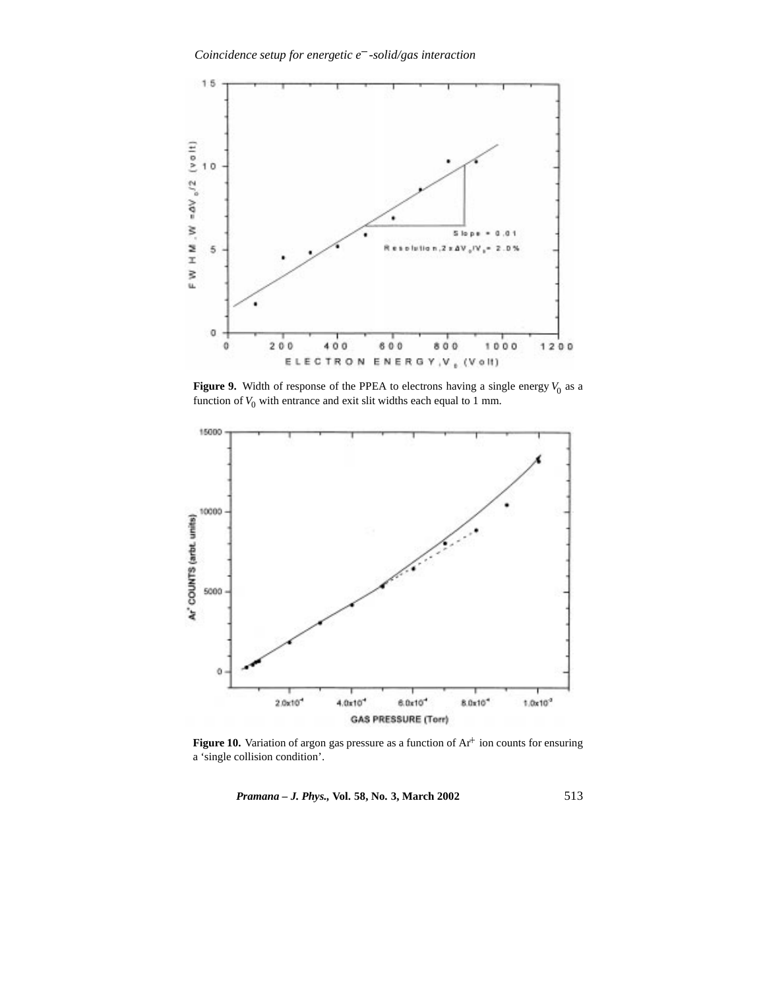

**Figure 9.** Width of response of the PPEA to electrons having a single energy  $V_0$  as a function of  $V_0$  with entrance and exit slit widths each equal to 1 mm.



**Figure 10.** Variation of argon gas pressure as a function of  $Ar^+$  ion counts for ensuring a 'single collision condition'.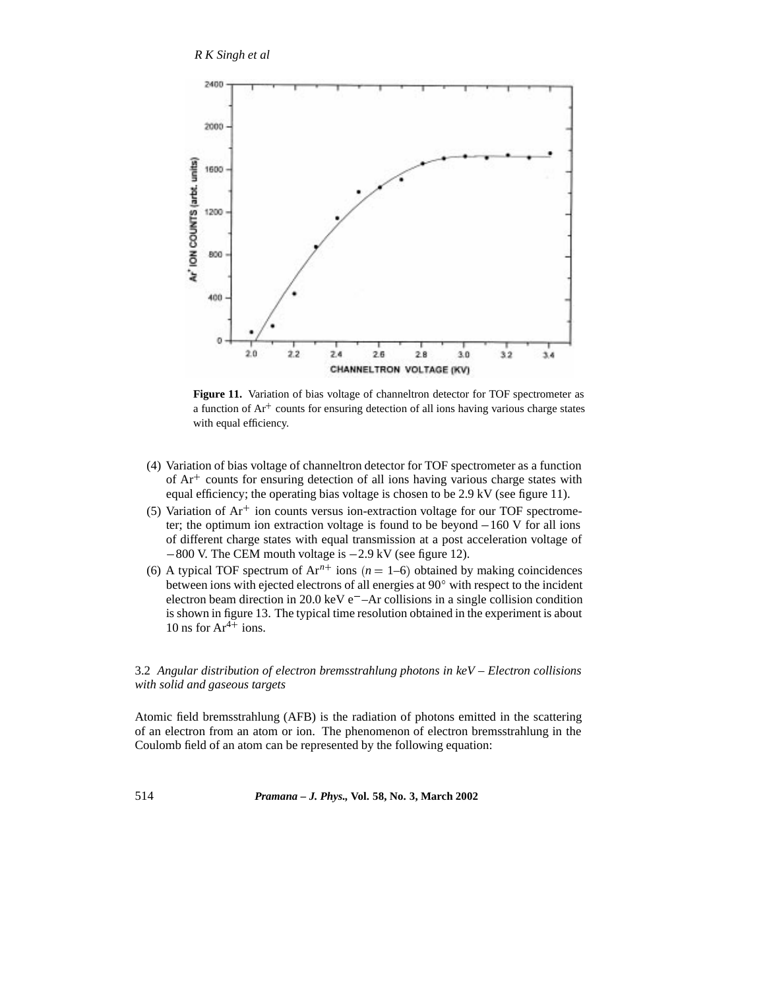

Figure 11. Variation of bias voltage of channeltron detector for TOF spectrometer as a function of  $Ar^+$  counts for ensuring detection of all ions having various charge states with equal efficiency.

- (4) Variation of bias voltage of channeltron detector for TOF spectrometer as a function of Ar<sup>+</sup> counts for ensuring detection of all ions having various charge states with equal efficiency; the operating bias voltage is chosen to be 2.9 kV (see figure 11).
- $(5)$  Variation of Ar<sup>+</sup> ion counts versus ion-extraction voltage for our TOF spectrometer; the optimum ion extraction voltage is found to be beyond  $-160$  V for all ions of different charge states with equal transmission at a post acceleration voltage of  $-800$  V. The CEM mouth voltage is  $-2.9$  kV (see figure 12).
- (6) A typical TOF spectrum of  $Ar^{n+}$  ions ( $n = 1-6$ ) obtained by making coincidences between ions with ejected electrons of all energies at 90° with respect to the incident electron beam direction in 20.0 keV e –Ar collisions in a single collision condition is shown in figure 13. The typical time resolution obtained in the experiment is about 10 ns for  $Ar^{4+}$  ions.

## 3.2 *Angular distribution of electron bremsstrahlung photons in keV – Electron collisions with solid and gaseous targets*

Atomic field bremsstrahlung (AFB) is the radiation of photons emitted in the scattering of an electron from an atom or ion. The phenomenon of electron bremsstrahlung in the Coulomb field of an atom can be represented by the following equation: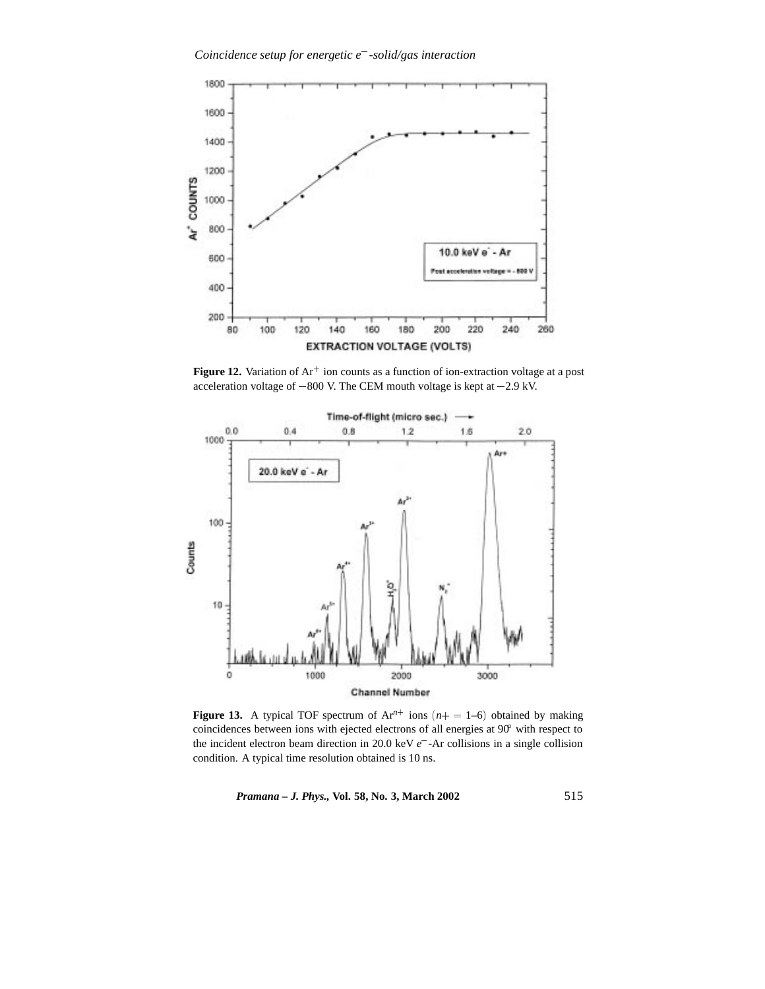

**Figure 12.** Variation of Ar<sup>+</sup> ion counts as a function of ion-extraction voltage at a post acceleration voltage of  $-800$  V. The CEM mouth voltage is kept at  $-2.9$  kV.



**Figure 13.** A typical TOF spectrum of  $Ar^{n+}$  ions  $(n+ = 1-6)$  obtained by making coincidences between ions with ejected electrons of all energies at 90 with respect to the incident electron beam direction in 20.0 keV *e* -Ar collisions in a single collision condition. A typical time resolution obtained is 10 ns.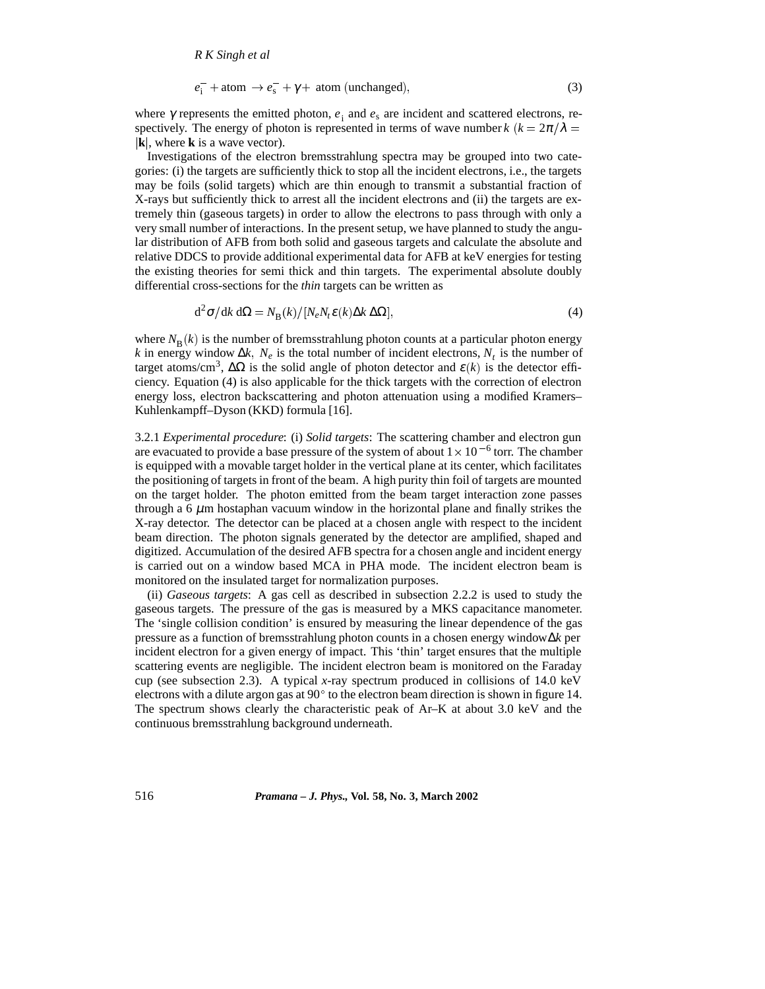$$
e_{i}^{-} + \text{atom} \rightarrow e_{s}^{-} + \gamma + \text{atom (unchanged)},
$$
\n(3)

where  $\gamma$  represents the emitted photon,  $e_i$  and  $e_s$  are incident and scattered electrons, respectively. The energy of photon is represented in terms of wave number *k*  $(k = 2\pi/\lambda =$  $|\mathbf{k}|$ , where **k** is a wave vector).

Investigations of the electron bremsstrahlung spectra may be grouped into two categories: (i) the targets are sufficiently thick to stop all the incident electrons, i.e., the targets may be foils (solid targets) which are thin enough to transmit a substantial fraction of X-rays but sufficiently thick to arrest all the incident electrons and (ii) the targets are extremely thin (gaseous targets) in order to allow the electrons to pass through with only a very small number of interactions. In the present setup, we have planned to study the angular distribution of AFB from both solid and gaseous targets and calculate the absolute and relative DDCS to provide additional experimental data for AFB at keV energies for testing the existing theories for semi thick and thin targets. The experimental absolute doubly differential cross-sections for the *thin* targets can be written as

$$
d^2\sigma/dk \, d\Omega = N_B(k) / [N_e N_t \varepsilon(k) \Delta k \, \Delta \Omega],
$$
\n(4)

where  $N_{\rm B}(k)$  is the number of bremsstrahlung photon counts at a particular photon energy *k* in energy window  $\Delta k$ ,  $N_e$  is the total number of incident electrons,  $N_t$  is the number of target atoms/cm<sup>3</sup>,  $\Delta\Omega$  is the solid angle of photon detector and  $\varepsilon(k)$  is the detector efficiency. Equation (4) is also applicable for the thick targets with the correction of electron energy loss, electron backscattering and photon attenuation using a modified Kramers– Kuhlenkampff–Dyson (KKD) formula [16].

3.2.1 *Experimental procedure*: (i) *Solid targets*: The scattering chamber and electron gun are evacuated to provide a base pressure of the system of about  $1 \times 10^{-6}$  torr. The chamber is equipped with a movable target holder in the vertical plane at its center, which facilitates the positioning of targets in front of the beam. A high purity thin foil of targets are mounted on the target holder. The photon emitted from the beam target interaction zone passes through a  $6 \mu m$  hostaphan vacuum window in the horizontal plane and finally strikes the X-ray detector. The detector can be placed at a chosen angle with respect to the incident beam direction. The photon signals generated by the detector are amplified, shaped and digitized. Accumulation of the desired AFB spectra for a chosen angle and incident energy is carried out on a window based MCA in PHA mode. The incident electron beam is monitored on the insulated target for normalization purposes.

(ii) *Gaseous targets*: A gas cell as described in subsection 2.2.2 is used to study the gaseous targets. The pressure of the gas is measured by a MKS capacitance manometer. The 'single collision condition' is ensured by measuring the linear dependence of the gas pressure as a function of bremsstrahlung photon counts in a chosen energy window∆*k* per incident electron for a given energy of impact. This 'thin' target ensures that the multiple scattering events are negligible. The incident electron beam is monitored on the Faraday cup (see subsection 2.3). A typical *x*-ray spectrum produced in collisions of 14.0 keV electrons with a dilute argon gas at  $90^{\circ}$  to the electron beam direction is shown in figure 14. The spectrum shows clearly the characteristic peak of Ar–K at about 3.0 keV and the continuous bremsstrahlung background underneath.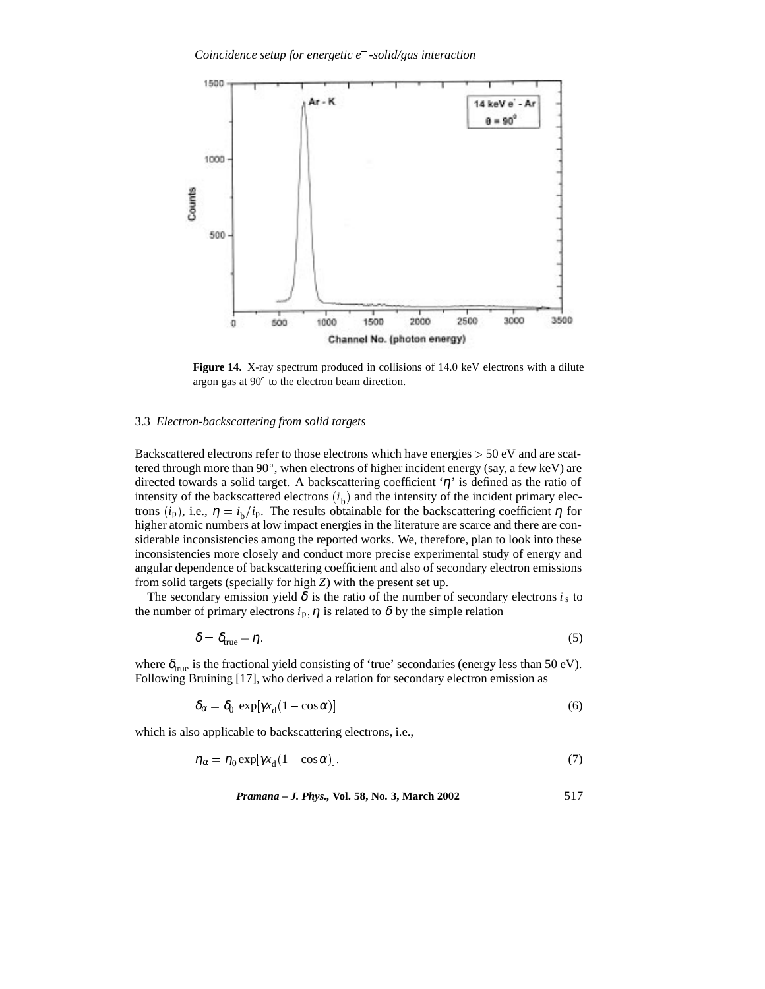

**Figure 14.** X-ray spectrum produced in collisions of 14.0 keV electrons with a dilute argon gas at  $90^{\circ}$  to the electron beam direction.

#### 3.3 *Electron-backscattering from solid targets*

Backscattered electrons refer to those electrons which have energies <sup>&</sup>gt; 50 eV and are scattered through more than 90°, when electrons of higher incident energy (say, a few keV) are directed towards a solid target. A backscattering coefficient ' $\eta$ ' is defined as the ratio of intensity of the backscattered electrons  $(i<sub>b</sub>)$  and the intensity of the incident primary electrons  $(i_p)$ , i.e.,  $\eta = i_b/i_p$ . The results obtainable for the backscattering coefficient  $\eta$  for higher atomic numbers at low impact energies in the literature are scarce and there are considerable inconsistencies among the reported works. We, therefore, plan to look into these inconsistencies more closely and conduct more precise experimental study of energy and angular dependence of backscattering coefficient and also of secondary electron emissions from solid targets (specially for high *Z*) with the present set up.

The secondary emission yield  $\delta$  is the ratio of the number of secondary electrons  $i_s$  to the number of primary electrons  $i_p$ ,  $\eta$  is related to  $\delta$  by the simple relation

$$
\delta = \delta_{\text{true}} + \eta,\tag{5}
$$

where  $\delta_{true}$  is the fractional yield consisting of 'true' secondaries (energy less than 50 eV). Following Bruining [17], who derived a relation for secondary electron emission as

$$
\delta_{\alpha} = \delta_0 \, \exp[\gamma x_d (1 - \cos \alpha)] \tag{6}
$$

which is also applicable to backscattering electrons, i.e.,

$$
\eta_{\alpha} = \eta_0 \exp[\gamma x_d (1 - \cos \alpha)],\tag{7}
$$

*Pramana – J. Phys.,* **Vol. 58, No. 3, March 2002** 517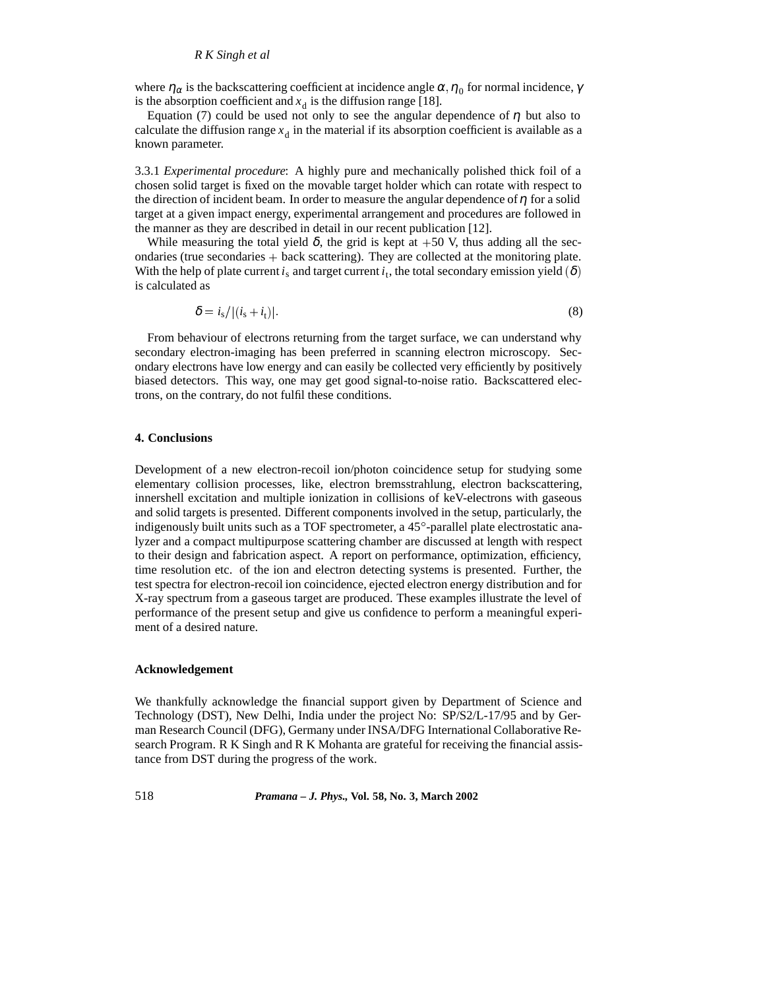where  $\eta_{\alpha}$  is the backscattering coefficient at incidence angle  $\alpha$ ,  $\eta_{0}$  for normal incidence,  $\gamma$ is the absorption coefficient and  $x_d$  is the diffusion range [18].

Equation (7) could be used not only to see the angular dependence of  $\eta$  but also to calculate the diffusion range  $x_d$  in the material if its absorption coefficient is available as a known parameter.

3.3.1 *Experimental procedure*: A highly pure and mechanically polished thick foil of a chosen solid target is fixed on the movable target holder which can rotate with respect to the direction of incident beam. In order to measure the angular dependence of  $\eta$  for a solid target at a given impact energy, experimental arrangement and procedures are followed in the manner as they are described in detail in our recent publication [12].

While measuring the total yield  $\delta$ , the grid is kept at +50 V, thus adding all the secondaries (true secondaries  $+$  back scattering). They are collected at the monitoring plate. With the help of plate current  $i_s$  and target current  $i_t$ , the total secondary emission yield  $(\delta)$ is calculated as

$$
\delta = i_{\rm s}/|(i_{\rm s} + i_{\rm t})|.\tag{8}
$$

From behaviour of electrons returning from the target surface, we can understand why secondary electron-imaging has been preferred in scanning electron microscopy. Secondary electrons have low energy and can easily be collected very efficiently by positively biased detectors. This way, one may get good signal-to-noise ratio. Backscattered electrons, on the contrary, do not fulfil these conditions.

#### **4. Conclusions**

Development of a new electron-recoil ion/photon coincidence setup for studying some elementary collision processes, like, electron bremsstrahlung, electron backscattering, innershell excitation and multiple ionization in collisions of keV-electrons with gaseous and solid targets is presented. Different components involved in the setup, particularly, the indigenously built units such as a TOF spectrometer, a 45 -parallel plate electrostatic analyzer and a compact multipurpose scattering chamber are discussed at length with respect to their design and fabrication aspect. A report on performance, optimization, efficiency, time resolution etc. of the ion and electron detecting systems is presented. Further, the test spectra for electron-recoil ion coincidence, ejected electron energy distribution and for X-ray spectrum from a gaseous target are produced. These examples illustrate the level of performance of the present setup and give us confidence to perform a meaningful experiment of a desired nature.

## **Acknowledgement**

We thankfully acknowledge the financial support given by Department of Science and Technology (DST), New Delhi, India under the project No: SP/S2/L-17/95 and by German Research Council (DFG), Germany under INSA/DFG International Collaborative Research Program. R K Singh and R K Mohanta are grateful for receiving the financial assistance from DST during the progress of the work.